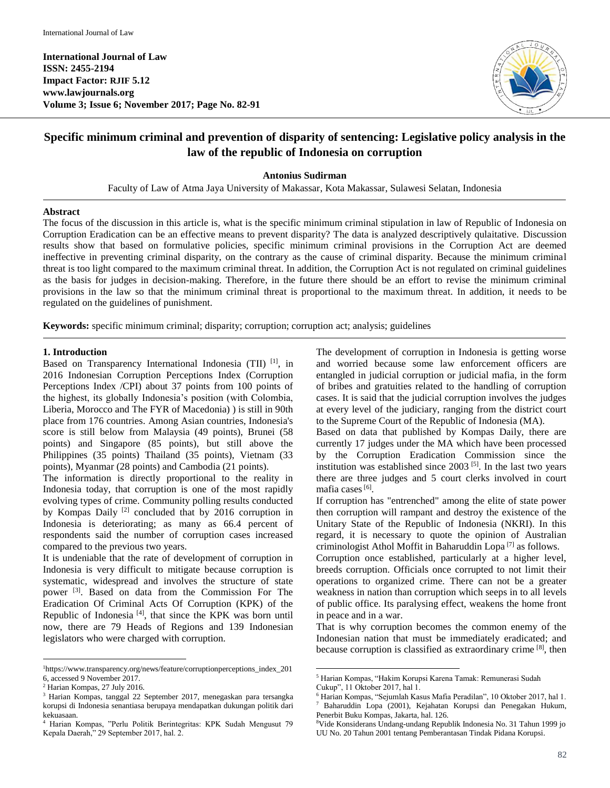**International Journal of Law ISSN: 2455-2194 Impact Factor: RJIF 5.12 www.lawjournals.org Volume 3; Issue 6; November 2017; Page No. 82-91**



# **Specific minimum criminal and prevention of disparity of sentencing: Legislative policy analysis in the law of the republic of Indonesia on corruption**

**Antonius Sudirman**

Faculty of Law of Atma Jaya University of Makassar, Kota Makassar, Sulawesi Selatan, Indonesia

#### **Abstract**

The focus of the discussion in this article is, what is the specific minimum criminal stipulation in law of Republic of Indonesia on Corruption Eradication can be an effective means to prevent disparity? The data is analyzed descriptively qulaitative. Discussion results show that based on formulative policies, specific minimum criminal provisions in the Corruption Act are deemed ineffective in preventing criminal disparity, on the contrary as the cause of criminal disparity. Because the minimum criminal threat is too light compared to the maximum criminal threat. In addition, the Corruption Act is not regulated on criminal guidelines as the basis for judges in decision-making. Therefore, in the future there should be an effort to revise the minimum criminal provisions in the law so that the minimum criminal threat is proportional to the maximum threat. In addition, it needs to be regulated on the guidelines of punishment.

**Keywords:** specific minimum criminal; disparity; corruption; corruption act; analysis; guidelines

#### **1. Introduction**

Based on Transparency International Indonesia (TII) <sup>[1]</sup>, in 2016 Indonesian Corruption Perceptions Index (Corruption Perceptions Index /CPI) about 37 points from 100 points of the highest, its globally Indonesia's position (with Colombia, Liberia, Morocco and The FYR of Macedonia) ) is still in 90th place from 176 countries. Among Asian countries, Indonesia's score is still below from Malaysia (49 points), Brunei (58 points) and Singapore (85 points), but still above the Philippines (35 points) Thailand (35 points), Vietnam (33 points), Myanmar (28 points) and Cambodia (21 points).

The information is directly proportional to the reality in Indonesia today, that corruption is one of the most rapidly evolving types of crime. Community polling results conducted by Kompas Daily<sup>[2]</sup> concluded that by 2016 corruption in Indonesia is deteriorating; as many as 66.4 percent of respondents said the number of corruption cases increased compared to the previous two years.

It is undeniable that the rate of development of corruption in Indonesia is very difficult to mitigate because corruption is systematic, widespread and involves the structure of state power<sup>[3]</sup>. Based on data from the Commission For The Eradication Of Criminal Acts Of Corruption (KPK) of the Republic of Indonesia<sup>[4]</sup>, that since the KPK was born until now, there are 79 Heads of Regions and 139 Indonesian legislators who were charged with corruption.

 $\overline{a}$ 

The development of corruption in Indonesia is getting worse and worried because some law enforcement officers are entangled in judicial corruption or judicial mafia, in the form of bribes and gratuities related to the handling of corruption cases. It is said that the judicial corruption involves the judges at every level of the judiciary, ranging from the district court to the Supreme Court of the Republic of Indonesia (MA).

Based on data that published by Kompas Daily, there are currently 17 judges under the MA which have been processed by the Corruption Eradication Commission since the institution was established since  $2003$ <sup>[5]</sup>. In the last two years there are three judges and 5 court clerks involved in court mafia cases [6].

If corruption has "entrenched" among the elite of state power then corruption will rampant and destroy the existence of the Unitary State of the Republic of Indonesia (NKRI). In this regard, it is necessary to quote the opinion of Australian criminologist Athol Moffit in Baharuddin Lopa<sup>[7]</sup> as follows.

Corruption once established, particularly at a higher level, breeds corruption. Officials once corrupted to not limit their operations to organized crime. There can not be a greater weakness in nation than corruption which seeps in to all levels of public office. Its paralysing effect, weakens the home front in peace and in a war.

That is why corruption becomes the common enemy of the Indonesian nation that must be immediately eradicated; and because corruption is classified as extraordinary crime <sup>[8]</sup>, then

 $\ddot{\phantom{a}}$ 

<sup>1</sup>https://www.transparency.org/news/feature/corruptionperceptions\_index\_201 6, accessed 9 November 2017.

<sup>2</sup> Harian Kompas, 27 July 2016.

<sup>3</sup> Harian Kompas, tanggal 22 September 2017, menegaskan para tersangka korupsi di Indonesia senantiasa berupaya mendapatkan dukungan politik dari kekuasaan.

<sup>4</sup> Harian Kompas, "Perlu Politik Berintegritas: KPK Sudah Mengusut 79 Kepala Daerah," 29 September 2017, hal. 2.

<sup>5</sup> Harian Kompas, "Hakim Korupsi Karena Tamak: Remunerasi Sudah

Cukup", 11 Oktober 2017, hal 1.

<sup>6</sup> Harian Kompas, "Sejumlah Kasus Mafia Peradilan", 10 Oktober 2017, hal 1. <sup>7</sup> Baharuddin Lopa (2001), Kejahatan Korupsi dan Penegakan Hukum, Penerbit Buku Kompas, Jakarta, hal. 126.

<sup>8</sup>Vide Konsiderans Undang-undang Republik Indonesia No. 31 Tahun 1999 jo UU No. 20 Tahun 2001 tentang Pemberantasan Tindak Pidana Korupsi.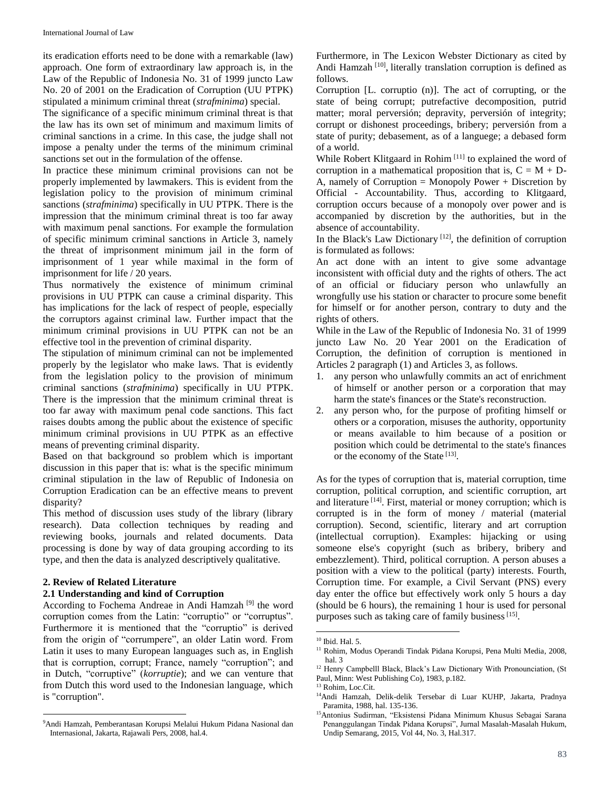its eradication efforts need to be done with a remarkable (law) approach. One form of extraordinary law approach is, in the Law of the Republic of Indonesia No. 31 of 1999 juncto Law No. 20 of 2001 on the Eradication of Corruption (UU PTPK) stipulated a minimum criminal threat (*strafminima*) special.

The significance of a specific minimum criminal threat is that the law has its own set of minimum and maximum limits of criminal sanctions in a crime. In this case, the judge shall not impose a penalty under the terms of the minimum criminal sanctions set out in the formulation of the offense.

In practice these minimum criminal provisions can not be properly implemented by lawmakers. This is evident from the legislation policy to the provision of minimum criminal sanctions (*strafminima*) specifically in UU PTPK. There is the impression that the minimum criminal threat is too far away with maximum penal sanctions. For example the formulation of specific minimum criminal sanctions in Article 3, namely the threat of imprisonment minimum jail in the form of imprisonment of 1 year while maximal in the form of imprisonment for life / 20 years.

Thus normatively the existence of minimum criminal provisions in UU PTPK can cause a criminal disparity. This has implications for the lack of respect of people, especially the corruptors against criminal law. Further impact that the minimum criminal provisions in UU PTPK can not be an effective tool in the prevention of criminal disparity.

The stipulation of minimum criminal can not be implemented properly by the legislator who make laws. That is evidently from the legislation policy to the provision of minimum criminal sanctions (*strafminima*) specifically in UU PTPK. There is the impression that the minimum criminal threat is too far away with maximum penal code sanctions. This fact raises doubts among the public about the existence of specific minimum criminal provisions in UU PTPK as an effective means of preventing criminal disparity.

Based on that background so problem which is important discussion in this paper that is: what is the specific minimum criminal stipulation in the law of Republic of Indonesia on Corruption Eradication can be an effective means to prevent disparity?

This method of discussion uses study of the library (library research). Data collection techniques by reading and reviewing books, journals and related documents. Data processing is done by way of data grouping according to its type, and then the data is analyzed descriptively qualitative.

### **2. Review of Related Literature**

 $\overline{a}$ 

### **2.1 Understanding and kind of Corruption**

According to Fochema Andreae in Andi Hamzah<sup>[9]</sup> the word corruption comes from the Latin: "corruptio" or "corruptus". Furthermore it is mentioned that the "corruptio" is derived from the origin of "corrumpere", an older Latin word. From Latin it uses to many European languages such as, in English that is corruption, corrupt; France, namely "corruption"; and in Dutch, "corruptive" (*korruptie*); and we can venture that from Dutch this word used to the Indonesian language, which is "corruption".

Furthermore, in The Lexicon Webster Dictionary as cited by Andi Hamzah<sup>[10]</sup>, literally translation corruption is defined as follows.

Corruption [L. corruptio (n)]. The act of corrupting, or the state of being corrupt; putrefactive decomposition, putrid matter; moral perversión; depravity, perversión of integrity; corrupt or dishonest proceedings, bribery; perversión from a state of purity; debasement, as of a languege; a debased form of a world.

While Robert Klitgaard in Rohim<sup>[11]</sup> to explained the word of corruption in a mathematical proposition that is,  $C = M + D$ -A, namely of Corruption = Monopoly Power + Discretion by Official - Accountability. Thus, according to Klitgaard, corruption occurs because of a monopoly over power and is accompanied by discretion by the authorities, but in the absence of accountability.

In the Black's Law Dictionary  $[12]$ , the definition of corruption is formulated as follows:

An act done with an intent to give some advantage inconsistent with official duty and the rights of others. The act of an official or fiduciary person who unlawfully an wrongfully use his station or character to procure some benefit for himself or for another person, contrary to duty and the rights of others.

While in the Law of the Republic of Indonesia No. 31 of 1999 juncto Law No. 20 Year 2001 on the Eradication of Corruption, the definition of corruption is mentioned in Articles 2 paragraph (1) and Articles 3, as follows.

- 1. any person who unlawfully commits an act of enrichment of himself or another person or a corporation that may harm the state's finances or the State's reconstruction.
- 2. any person who, for the purpose of profiting himself or others or a corporation, misuses the authority, opportunity or means available to him because of a position or position which could be detrimental to the state's finances or the economy of the State [13].

As for the types of corruption that is, material corruption, time corruption, political corruption, and scientific corruption, art and literature<sup>[14]</sup>. First, material or money corruption; which is corrupted is in the form of money / material (material corruption). Second, scientific, literary and art corruption (intellectual corruption). Examples: hijacking or using someone else's copyright (such as bribery, bribery and embezzlement). Third, political corruption. A person abuses a position with a view to the political (party) interests. Fourth, Corruption time. For example, a Civil Servant (PNS) every day enter the office but effectively work only 5 hours a day (should be 6 hours), the remaining 1 hour is used for personal purposes such as taking care of family business<sup>[15]</sup>.

<sup>9</sup>Andi Hamzah, Pemberantasan Korupsi Melalui Hukum Pidana Nasional dan Internasional, Jakarta, Rajawali Pers, 2008, hal.4.

<sup>10</sup> Ibid. Hal. 5.

<sup>11</sup> Rohim, Modus Operandi Tindak Pidana Korupsi, Pena Multi Media, 2008, hal. 3

<sup>&</sup>lt;sup>12</sup> Henry Campbelll Black, Black's Law Dictionary With Pronounciation, (St Paul, Minn: West Publishing Co), 1983, p.182.

<sup>13</sup> Rohim, Loc.Cit.

<sup>14</sup>Andi Hamzah, Delik-delik Tersebar di Luar KUHP, Jakarta, Pradnya Paramita, 1988, hal. 135-136.

<sup>&</sup>lt;sup>15</sup>Antonius Sudirman, "Eksistensi Pidana Minimum Khusus Sebagai Sarana Penanggulangan Tindak Pidana Korupsi", Jurnal Masalah-Masalah Hukum, Undip Semarang, 2015, Vol 44, No. 3, Hal.317.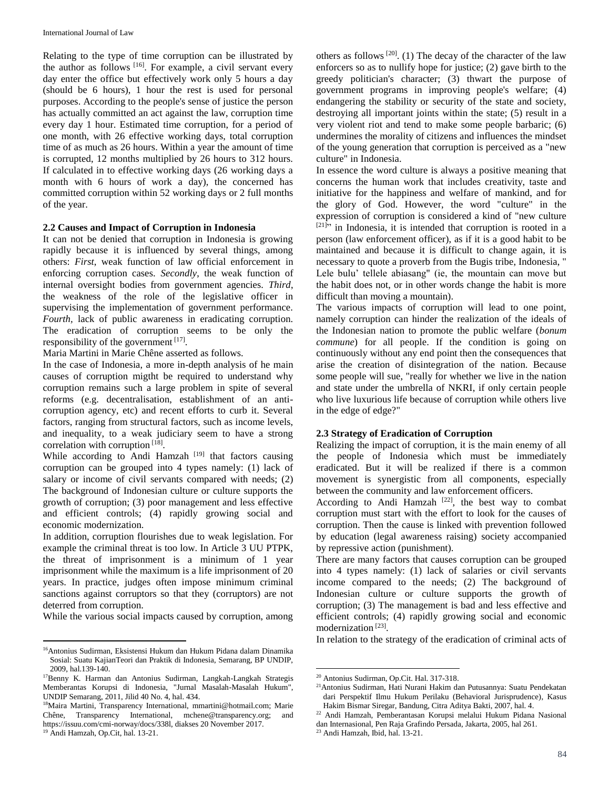Relating to the type of time corruption can be illustrated by the author as follows [16]. For example, a civil servant every day enter the office but effectively work only 5 hours a day (should be 6 hours), 1 hour the rest is used for personal purposes. According to the people's sense of justice the person has actually committed an act against the law, corruption time every day 1 hour. Estimated time corruption, for a period of one month, with 26 effective working days, total corruption time of as much as 26 hours. Within a year the amount of time is corrupted, 12 months multiplied by 26 hours to 312 hours. If calculated in to effective working days (26 working days a month with 6 hours of work a day), the concerned has committed corruption within 52 working days or 2 full months of the year.

### **2.2 Causes and Impact of Corruption in Indonesia**

It can not be denied that corruption in Indonesia is growing rapidly because it is influenced by several things, among others: *First*, weak function of law official enforcement in enforcing corruption cases. *Secondly*, the weak function of internal oversight bodies from government agencies. *Third*, the weakness of the role of the legislative officer in supervising the implementation of government performance. *Fourth,* lack of public awareness in eradicating corruption. The eradication of corruption seems to be only the responsibility of the government  $[17]$ .

Maria Martini in Marie Chêne asserted as follows.

In the case of Indonesia, a more in-depth analysis of he main causes of corruption migtht be required to understand why corruption remains such a large problem in spite of several reforms (e.g. decentralisation, establishment of an anticorruption agency, etc) and recent efforts to curb it. Several factors, ranging from structural factors, such as income levels, and inequality, to a weak judiciary seem to have a strong correlation with corruption<sup>[18]</sup>.

While according to Andi Hamzah<sup>[19]</sup> that factors causing corruption can be grouped into 4 types namely: (1) lack of salary or income of civil servants compared with needs; (2) The background of Indonesian culture or culture supports the growth of corruption; (3) poor management and less effective and efficient controls; (4) rapidly growing social and economic modernization.

In addition, corruption flourishes due to weak legislation. For example the criminal threat is too low. In Article 3 UU PTPK, the threat of imprisonment is a minimum of 1 year imprisonment while the maximum is a life imprisonment of 20 years. In practice, judges often impose minimum criminal sanctions against corruptors so that they (corruptors) are not deterred from corruption.

While the various social impacts caused by corruption, among

<sup>19</sup> Andi Hamzah, Op.Cit, hal. 13-21.

 $\overline{a}$ 

others as follows  $[20]$ . (1) The decay of the character of the law enforcers so as to nullify hope for justice; (2) gave birth to the greedy politician's character; (3) thwart the purpose of government programs in improving people's welfare; (4) endangering the stability or security of the state and society, destroying all important joints within the state; (5) result in a very violent riot and tend to make some people barbaric; (6) undermines the morality of citizens and influences the mindset of the young generation that corruption is perceived as a "new culture" in Indonesia.

In essence the word culture is always a positive meaning that concerns the human work that includes creativity, taste and initiative for the happiness and welfare of mankind, and for the glory of God. However, the word "culture" in the expression of corruption is considered a kind of "new culture  $[21]$ <sup>21</sup> in Indonesia, it is intended that corruption is rooted in a person (law enforcement officer), as if it is a good habit to be maintained and because it is difficult to change again, it is necessary to quote a proverb from the Bugis tribe, Indonesia, " Lele bulu' tellele abiasang" (ie, the mountain can move but the habit does not, or in other words change the habit is more difficult than moving a mountain).

The various impacts of corruption will lead to one point, namely corruption can hinder the realization of the ideals of the Indonesian nation to promote the public welfare (*bonum commune*) for all people. If the condition is going on continuously without any end point then the consequences that arise the creation of disintegration of the nation. Because some people will sue, "really for whether we live in the nation and state under the umbrella of NKRI, if only certain people who live luxurious life because of corruption while others live in the edge of edge?"

### **2.3 Strategy of Eradication of Corruption**

Realizing the impact of corruption, it is the main enemy of all the people of Indonesia which must be immediately eradicated. But it will be realized if there is a common movement is synergistic from all components, especially between the community and law enforcement officers.

According to Andi Hamzah  $[22]$ , the best way to combat corruption must start with the effort to look for the causes of corruption. Then the cause is linked with prevention followed by education (legal awareness raising) society accompanied by repressive action (punishment).

There are many factors that causes corruption can be grouped into 4 types namely: (1) lack of salaries or civil servants income compared to the needs; (2) The background of Indonesian culture or culture supports the growth of corruption; (3) The management is bad and less effective and efficient controls; (4) rapidly growing social and economic modernization<sup>[23]</sup>.

In relation to the strategy of the eradication of criminal acts of

 $\ddot{\phantom{a}}$ 

<sup>16</sup>Antonius Sudirman, Eksistensi Hukum dan Hukum Pidana dalam Dinamika Sosial: Suatu KajianTeori dan Praktik di Indonesia, Semarang, BP UNDIP, 2009, hal.139-140.

<sup>17</sup>Benny K. Harman dan Antonius Sudirman, Langkah-Langkah Strategis Memberantas Korupsi di Indonesia, "Jurnal Masalah-Masalah Hukum", UNDIP Semarang, 2011, Jilid 40 No. 4, hal. 434.

<sup>18</sup>Maira Martini, Transparency International, [mmartini@hotmail.com;](mailto:mmartini@hotmail.com) Marie Chêne, Transparency International, [mchene@transparency.org;](mailto:mchene@transparency.org) and https://issuu.com/cmi-norway/docs/338l, diakses 20 November 2017.

<sup>20</sup> Antonius Sudirman, Op.Cit. Hal. 317-318.

<sup>21</sup>Antonius Sudirman, Hati Nurani Hakim dan Putusannya: Suatu Pendekatan dari Perspektif Ilmu Hukum Perilaku (Behavioral Jurisprudence), Kasus Hakim Bismar Siregar, Bandung, Citra Aditya Bakti, 2007, hal. 4.

<sup>22</sup> Andi Hamzah, Pemberantasan Korupsi melalui Hukum Pidana Nasional dan Internasional, Pen Raja Grafindo Persada, Jakarta, 2005, hal 261.

<sup>23</sup> Andi Hamzah, Ibid, hal. 13-21.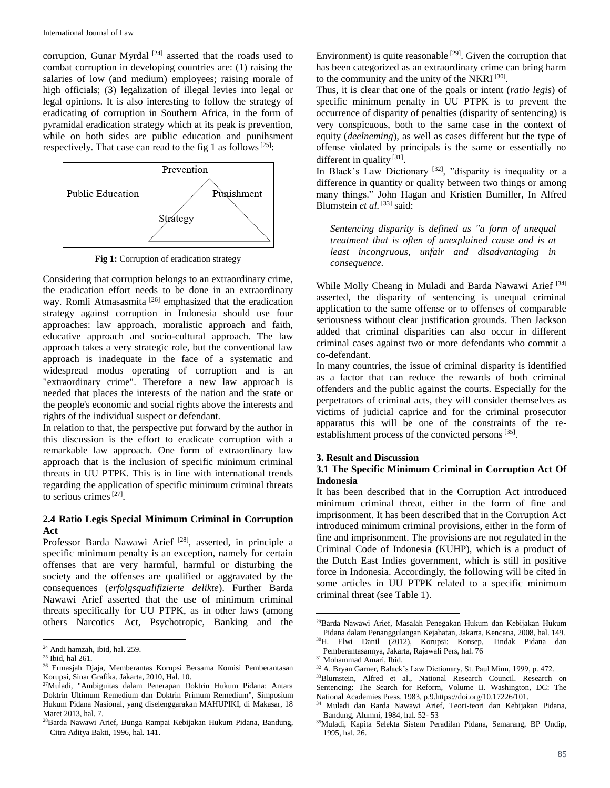corruption, Gunar Myrdal<sup>[24]</sup> asserted that the roads used to combat corruption in developing countries are: (1) raising the salaries of low (and medium) employees; raising morale of high officials; (3) legalization of illegal levies into legal or legal opinions. It is also interesting to follow the strategy of eradicating of corruption in Southern Africa, in the form of pyramidal eradication strategy which at its peak is prevention, while on both sides are public education and punihsment respectively. That case can read to the fig 1 as follows<sup>[25]</sup>:



**Fig 1:** Corruption of eradication strategy

Considering that corruption belongs to an extraordinary crime, the eradication effort needs to be done in an extraordinary way. Romli Atmasasmita<sup>[26]</sup> emphasized that the eradication strategy against corruption in Indonesia should use four approaches: law approach, moralistic approach and faith, educative approach and socio-cultural approach. The law approach takes a very strategic role, but the conventional law approach is inadequate in the face of a systematic and widespread modus operating of corruption and is an "extraordinary crime". Therefore a new law approach is needed that places the interests of the nation and the state or the people's economic and social rights above the interests and rights of the individual suspect or defendant.

In relation to that, the perspective put forward by the author in this discussion is the effort to eradicate corruption with a remarkable law approach. One form of extraordinary law approach that is the inclusion of specific minimum criminal threats in UU PTPK. This is in line with international trends regarding the application of specific minimum criminal threats to serious crimes<sup>[27]</sup>.

# **2.4 Ratio Legis Special Minimum Criminal in Corruption Act**

Professor Barda Nawawi Arief<sup>[28]</sup>, asserted, in principle a specific minimum penalty is an exception, namely for certain offenses that are very harmful, harmful or disturbing the society and the offenses are qualified or aggravated by the consequences (*erfolgsqualifizierte delikte*). Further Barda Nawawi Arief asserted that the use of minimum criminal threats specifically for UU PTPK, as in other laws (among others Narcotics Act, Psychotropic, Banking and the

 $\overline{a}$ 

Environment) is quite reasonable  $[29]$ . Given the corruption that has been categorized as an extraordinary crime can bring harm to the community and the unity of the NKRI<sup>[30]</sup>.

Thus, it is clear that one of the goals or intent (*ratio legis*) of specific minimum penalty in UU PTPK is to prevent the occurrence of disparity of penalties (disparity of sentencing) is very conspicuous, both to the same case in the context of equity (*deelneming*), as well as cases different but the type of offense violated by principals is the same or essentially no different in quality<sup>[31]</sup>.

In Black's Law Dictionary<sup>[32]</sup>, "disparity is inequality or a difference in quantity or quality between two things or among many things." John Hagan and Kristien Bumiller, In Alfred Blumstein *et al.* [33] said:

*Sentencing disparity is defined as "a form of unequal treatment that is often of unexplained cause and is at least incongruous, unfair and disadvantaging in consequence.*

While Molly Cheang in Muladi and Barda Nawawi Arief [34] asserted, the disparity of sentencing is unequal criminal application to the same offense or to offenses of comparable seriousness without clear justification grounds. Then Jackson added that criminal disparities can also occur in different criminal cases against two or more defendants who commit a co-defendant.

In many countries, the issue of criminal disparity is identified as a factor that can reduce the rewards of both criminal offenders and the public against the courts. Especially for the perpetrators of criminal acts, they will consider themselves as victims of judicial caprice and for the criminal prosecutor apparatus this will be one of the constraints of the reestablishment process of the convicted persons  $[35]$ .

#### **3. Result and Discussion**

### **3.1 The Specific Minimum Criminal in Corruption Act Of Indonesia**

It has been described that in the Corruption Act introduced minimum criminal threat, either in the form of fine and imprisonment. It has been described that in the Corruption Act introduced minimum criminal provisions, either in the form of fine and imprisonment. The provisions are not regulated in the Criminal Code of Indonesia (KUHP), which is a product of the Dutch East Indies government, which is still in positive force in Indonesia. Accordingly, the following will be cited in some articles in UU PTPK related to a specific minimum criminal threat (see Table 1).

<sup>24</sup> Andi hamzah, Ibid, hal. 259.

<sup>25</sup> Ibid, hal 261.

<sup>26</sup> Ermasjah Djaja, Memberantas Korupsi Bersama Komisi Pemberantasan Korupsi, Sinar Grafika, Jakarta, 2010, Hal. 10.

<sup>27</sup>Muladi, "Ambiguitas dalam Penerapan Doktrin Hukum Pidana: Antara Doktrin Ultimum Remedium dan Doktrin Primum Remedium", Simposium Hukum Pidana Nasional, yang diselenggarakan MAHUPIKI, di Makasar, 18 Maret 2013, hal. 7.

<sup>&</sup>lt;sup>28</sup>Barda Nawawi Arief, Bunga Rampai Kebijakan Hukum Pidana, Bandung, Citra Aditya Bakti, 1996, hal. 141.

<sup>29</sup>Barda Nawawi Arief, Masalah Penegakan Hukum dan Kebijakan Hukum Pidana dalam Penanggulangan Kejahatan, Jakarta, Kencana, 2008, hal. 149.

<sup>30</sup>H. Elwi Danil (2012), Korupsi: Konsep, Tindak Pidana dan Pemberantasannya, Jakarta, Rajawali Pers, hal. 76

<sup>31</sup> Mohammad Amari, Ibid.

<sup>32</sup> A. Bryan Garner, Balack's Law Dictionary, St. Paul Minn, 1999, p. 472.

<sup>33</sup>Blumstein, Alfred et al., National Research Council. Research on Sentencing: The Search for Reform, Volume II. Washington, DC: The National Academies Press, 1983, p.9.https://doi.org/10.17226/101.

<sup>34</sup> Muladi dan Barda Nawawi Arief, Teori-teori dan Kebijakan Pidana, Bandung, Alumni, 1984, hal. 52- 53

<sup>&</sup>lt;sup>35</sup>Muladi, Kapita Selekta Sistem Peradilan Pidana, Semarang, BP Undip, 1995, hal. 26.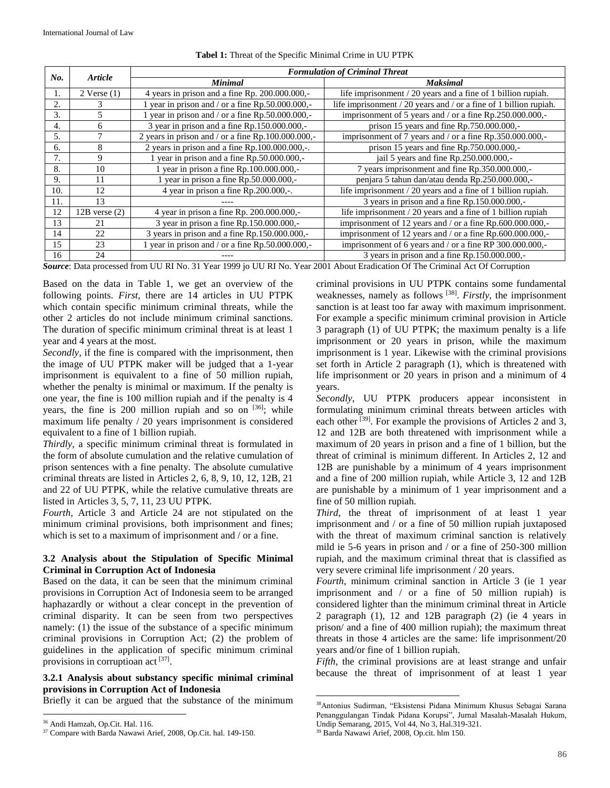| No. | <b>Article</b>    | <b>Formulation of Criminal Threat</b>              |                                                                       |
|-----|-------------------|----------------------------------------------------|-----------------------------------------------------------------------|
|     |                   | <b>Minimal</b>                                     | <b>Maksimal</b>                                                       |
| Ι.  | $2$ Verse $(1)$   | 4 years in prison and a fine Rp. 200.000.000,-     | life imprisonment / 20 years and a fine of 1 billion rupiah.          |
| 2.  | 3                 | 1 year in prison and / or a fine Rp.50.000.000,-   | life imprisonment $/ 20$ years and $/$ or a fine of 1 billion rupiah. |
| 3.  | 5                 | 1 year in prison and / or a fine Rp.50.000.000,-   | imprisonment of 5 years and / or a fine Rp.250.000.000,-              |
| 4.  | 6                 | 3 year in prison and a fine Rp.150.000.000,-       | prison 15 years and fine Rp.750.000.000,-                             |
| 5.  |                   | 2 years in prison and / or a fine Rp.100.000.000,- | imprisonment of 7 years and / or a fine Rp.350.000.000,-              |
| б.  | 8                 | 2 years in prison and a fine $Rp.100.000.000,$ -.  | prison 15 years and fine Rp.750.000.000,-                             |
| 7.  | 9                 | year in prison and a fine Rp.50.000.000,-          | jail 5 years and fine Rp.250.000.000,-                                |
| 8.  | 10                | 1 year in prison a fine Rp.100.000.000,-           | 7 years imprisonment and fine Rp.350.000.000,-                        |
| 9.  | 11                | 1 year in prison a fine Rp.50.000.000,-            | penjara 5 tahun dan/atau denda Rp.250.000.000,-                       |
| 10. | 12                | 4 year in prison a fine Rp. 200, 000,-.            | life imprisonment / 20 years and a fine of 1 billion rupiah.          |
| 11. | 13                |                                                    | 3 years in prison and a fine Rp.150.000.000,-                         |
| 12  | $12B$ verse $(2)$ | 4 year in prison a fine Rp. 200.000.000,-          | life imprisonment $/ 20$ years and a fine of 1 billion rupiah         |
| 13  | 21                | 3 year in prison a fine Rp.150.000.000,-           | imprisonment of 12 years and / or a fine Rp.600.000.000,-             |
| 14  | 22                | 3 years in prison and a fine Rp.150.000.000,-      | imprisonment of 12 years and / or a fine Rp.600.000.000,-             |
| 15  | 23                | 1 year in prison and / or a fine Rp.50.000.000,-   | imprisonment of 6 years and / or a fine RP 300.000.000,-              |
| 16  | 24                |                                                    | 3 years in prison and a fine Rp.150.000.000,-                         |

### **Tabel 1:** Threat of the Specific Minimal Crime in UU PTPK

*Source*: Data processed from UU RI No. 31 Year 1999 jo UU RI No. Year 2001 About Eradication Of The Criminal Act Of Corruption

Based on the data in Table 1, we get an overview of the following points. *First,* there are 14 articles in UU PTPK which contain specific minimum criminal threats, while the other 2 articles do not include minimum criminal sanctions. The duration of specific minimum criminal threat is at least 1 year and 4 years at the most.

*Secondly*, if the fine is compared with the imprisonment, then the image of UU PTPK maker will be judged that a 1-year imprisonment is equivalent to a fine of 50 million rupiah, whether the penalty is minimal or maximum. If the penalty is one year, the fine is 100 million rupiah and if the penalty is 4 years, the fine is 200 million rupiah and so on [36]; while maximum life penalty / 20 years imprisonment is considered equivalent to a fine of 1 billion rupiah.

*Thirdly,* a specific minimum criminal threat is formulated in the form of absolute cumulation and the relative cumulation of prison sentences with a fine penalty. The absolute cumulative criminal threats are listed in Articles 2, 6, 8, 9, 10, 12, 12B, 21 and 22 of UU PTPK, while the relative cumulative threats are listed in Articles 3, 5, 7, 11, 23 UU PTPK.

*Fourth,* Article 3 and Article 24 are not stipulated on the minimum criminal provisions, both imprisonment and fines; which is set to a maximum of imprisonment and / or a fine.

# **3.2 Analysis about the Stipulation of Specific Minimal Criminal in Corruption Act of Indonesia**

Based on the data, it can be seen that the minimum criminal provisions in Corruption Act of Indonesia seem to be arranged haphazardly or without a clear concept in the prevention of criminal disparity. It can be seen from two perspectives namely: (1) the issue of the substance of a specific minimum criminal provisions in Corruption Act; (2) the problem of guidelines in the application of specific minimum criminal provisions in corruptioan act<sup>[37]</sup>.

# **3.2.1 Analysis about substancy specific minimal criminal provisions in Corruption Act of Indonesia**

Briefly it can be argued that the substance of the minimum

<sup>36</sup> Andi Hamzah, Op.Cit. Hal. 116.

 $\overline{a}$ 

criminal provisions in UU PTPK contains some fundamental weaknesses, namely as follows [38] . *Firstly*, the imprisonment sanction is at least too far away with maximum imprisonment. For example a specific minimum criminal provision in Article 3 paragraph (1) of UU PTPK; the maximum penalty is a life imprisonment or 20 years in prison, while the maximum imprisonment is 1 year. Likewise with the criminal provisions set forth in Article 2 paragraph (1), which is threatened with life imprisonment or 20 years in prison and a minimum of 4 years.

*Secondly*, UU PTPK producers appear inconsistent in formulating minimum criminal threats between articles with each other <sup>[39]</sup>. For example the provisions of Articles 2 and 3, 12 and 12B are both threatened with imprisonment while a maximum of 20 years in prison and a fine of 1 billion, but the threat of criminal is minimum different. In Articles 2, 12 and 12B are punishable by a minimum of 4 years imprisonment and a fine of 200 million rupiah, while Article 3, 12 and 12B are punishable by a minimum of 1 year imprisonment and a fine of 50 million rupiah.

*Third*, the threat of imprisonment of at least 1 year imprisonment and / or a fine of 50 million rupiah juxtaposed with the threat of maximum criminal sanction is relatively mild ie 5-6 years in prison and / or a fine of 250-300 million rupiah, and the maximum criminal threat that is classified as very severe criminal life imprisonment / 20 years.

*Fourth*, minimum criminal sanction in Article 3 (ie 1 year imprisonment and / or a fine of 50 million rupiah) is considered lighter than the minimum criminal threat in Article 2 paragraph (1), 12 and 12B paragraph (2) (ie 4 years in prison/ and a fine of 400 million rupiah); the maximum threat threats in those 4 articles are the same: life imprisonment/20 years and/or fine of 1 billion rupiah.

*Fifth*, the criminal provisions are at least strange and unfair because the threat of imprisonment of at least 1 year

<sup>&</sup>lt;sup>37</sup> Compare with Barda Nawawi Arief, 2008, Op.Cit. hal. 149-150.

<sup>38</sup>Antonius Sudirman, "Eksistensi Pidana Minimum Khusus Sebagai Sarana Penanggulangan Tindak Pidana Korupsi", Jurnal Masalah-Masalah Hukum, Undip Semarang, 2015, Vol 44, No 3, Hal.319-321.

<sup>39</sup> Barda Nawawi Arief, 2008, Op.cit. hlm 150.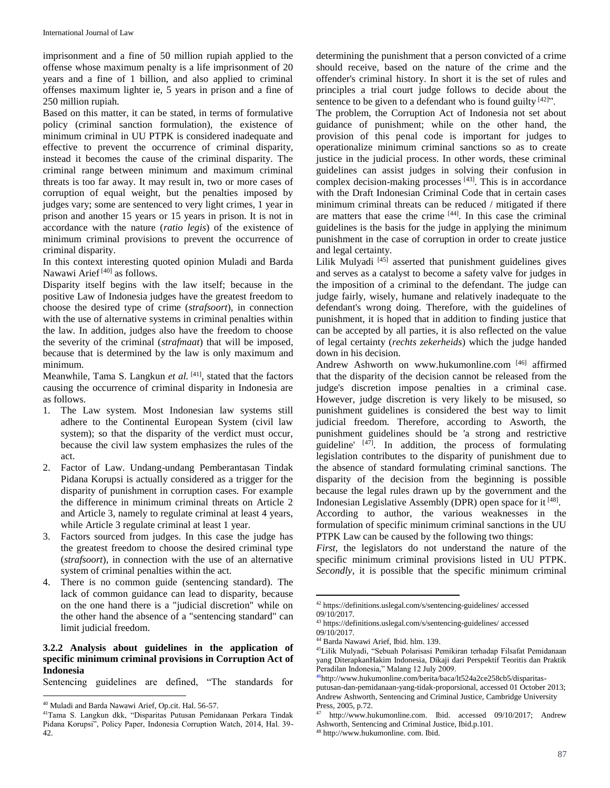imprisonment and a fine of 50 million rupiah applied to the offense whose maximum penalty is a life imprisonment of 20 years and a fine of 1 billion, and also applied to criminal offenses maximum lighter ie, 5 years in prison and a fine of 250 million rupiah.

Based on this matter, it can be stated, in terms of formulative policy (criminal sanction formulation), the existence of minimum criminal in UU PTPK is considered inadequate and effective to prevent the occurrence of criminal disparity, instead it becomes the cause of the criminal disparity. The criminal range between minimum and maximum criminal threats is too far away. It may result in, two or more cases of corruption of equal weight, but the penalties imposed by judges vary; some are sentenced to very light crimes, 1 year in prison and another 15 years or 15 years in prison. It is not in accordance with the nature (*ratio legis*) of the existence of minimum criminal provisions to prevent the occurrence of criminal disparity.

In this context interesting quoted opinion Muladi and Barda Nawawi Arief<sup>[40]</sup> as follows.

Disparity itself begins with the law itself; because in the positive Law of Indonesia judges have the greatest freedom to choose the desired type of crime (*strafsoort*), in connection with the use of alternative systems in criminal penalties within the law. In addition, judges also have the freedom to choose the severity of the criminal (*strafmaat*) that will be imposed, because that is determined by the law is only maximum and minimum.

Meanwhile, Tama S. Langkun et al. <sup>[41]</sup>, stated that the factors causing the occurrence of criminal disparity in Indonesia are as follows.

- 1. The Law system. Most Indonesian law systems still adhere to the Continental European System (civil law system); so that the disparity of the verdict must occur, because the civil law system emphasizes the rules of the act.
- 2. Factor of Law. Undang-undang Pemberantasan Tindak Pidana Korupsi is actually considered as a trigger for the disparity of punishment in corruption cases. For example the difference in minimum criminal threats on Article 2 and Article 3, namely to regulate criminal at least 4 years, while Article 3 regulate criminal at least 1 year.
- 3. Factors sourced from judges. In this case the judge has the greatest freedom to choose the desired criminal type (*strafsoort*), in connection with the use of an alternative system of criminal penalties within the act.
- 4. There is no common guide (sentencing standard). The lack of common guidance can lead to disparity, because on the one hand there is a "judicial discretion" while on the other hand the absence of a "sentencing standard" can limit judicial freedom.

# **3.2.2 Analysis about guidelines in the application of specific minimum criminal provisions in Corruption Act of Indonesia**

Sentencing guidelines are defined, "The standards for

 $\overline{a}$ 

determining the punishment that a person convicted of a crime should receive, based on the nature of the crime and the offender's criminal history. In short it is the set of rules and principles a trial court judge follows to decide about the sentence to be given to a defendant who is found guilty  $[42]$ ".

The problem, the Corruption Act of Indonesia not set about guidance of punishment; while on the other hand, the provision of this penal code is important for judges to operationalize minimum criminal sanctions so as to create justice in the judicial process. In other words, these criminal guidelines can assist judges in solving their confusion in complex decision-making processes  $[43]$ . This is in accordance with the Draft Indonesian Criminal Code that in certain cases minimum criminal threats can be reduced / mitigated if there are matters that ease the crime [44]. In this case the criminal guidelines is the basis for the judge in applying the minimum punishment in the case of corruption in order to create justice and legal certainty.

Lilik Mulyadi<sup>[45]</sup> asserted that punishment guidelines gives and serves as a catalyst to become a safety valve for judges in the imposition of a criminal to the defendant. The judge can judge fairly, wisely, humane and relatively inadequate to the defendant's wrong doing. Therefore, with the guidelines of punishment, it is hoped that in addition to finding justice that can be accepted by all parties, it is also reflected on the value of legal certainty (*rechts zekerheids*) which the judge handed down in his decision.

Andrew Ashworth on www.hukumonline.com<sup>[46]</sup> affirmed that the disparity of the decision cannot be released from the judge's discretion impose penalties in a criminal case. However, judge discretion is very likely to be misused, so punishment guidelines is considered the best way to limit judicial freedom. Therefore, according to Asworth, the punishment guidelines should be 'a strong and restrictive guideline' [47]. In addition, the process of formulating legislation contributes to the disparity of punishment due to the absence of standard formulating criminal sanctions. The disparity of the decision from the beginning is possible because the legal rules drawn up by the government and the Indonesian Legislative Assembly (DPR) open space for it [48].

According to author, the various weaknesses in the formulation of specific minimum criminal sanctions in the UU PTPK Law can be caused by the following two things:

*First*, the legislators do not understand the nature of the specific minimum criminal provisions listed in UU PTPK. *Secondly*, it is possible that the specific minimum criminal

<sup>40</sup> Muladi and Barda Nawawi Arief, Op.cit. Hal. 56-57.

<sup>41</sup>Tama S. Langkun dkk, "Disparitas Putusan Pemidanaan Perkara Tindak Pidana Korupsi", Policy Paper, Indonesia Corruption Watch, 2014, Hal. 39- 42.

<sup>42</sup> [https://definitions.uslegal.com/s/sentencing-guidelines/ accessed](https://definitions.uslegal.com/s/sentencing-guidelines/%20dikses) 09/10/2017.

<sup>43</sup> <https://definitions.uslegal.com/s/sentencing-guidelines/> accessed 09/10/2017.

<sup>44</sup> Barda Nawawi Arief, Ibid. hlm. 139.

<sup>45</sup>Lilik Mulyadi, "Sebuah Polarisasi Pemikiran terhadap Filsafat Pemidanaan yang DiterapkanHakim Indonesia, Dikaji dari Perspektif Teoritis dan Praktik Peradilan Indonesia," Malang 12 July 2009.

<sup>46</sup>[http://www.hukumonline.com/berita/baca/lt524a2ce258cb5/disparitas-](http://www.hukumonline.com/berita/baca/lt524a2ce258cb5/disparitas-putusan-dan-pemidanaan-yang-tidak-proporsional)

[putusan-dan-pemidanaan-yang-tidak-proporsional,](http://www.hukumonline.com/berita/baca/lt524a2ce258cb5/disparitas-putusan-dan-pemidanaan-yang-tidak-proporsional) accessed 01 October 2013; [Andrew Ashworth,](https://www.google.co.id/search?tbo=p&tbm=bks&q=inauthor:%22Andrew+Ashworth%22) Sentencing and Criminal Justice, Cambridge University Press, 2005, p.72.

[http://www.hukumonline.com.](http://www.hukumonline.com/) Ibid. accessed 09/10/2017; Andrew [Ashworth,](https://www.google.co.id/search?tbo=p&tbm=bks&q=inauthor:%22Andrew+Ashworth%22) Sentencing and Criminal Justice, Ibid.p.101.

<sup>48</sup> http://www.hukumonline. com. Ibid.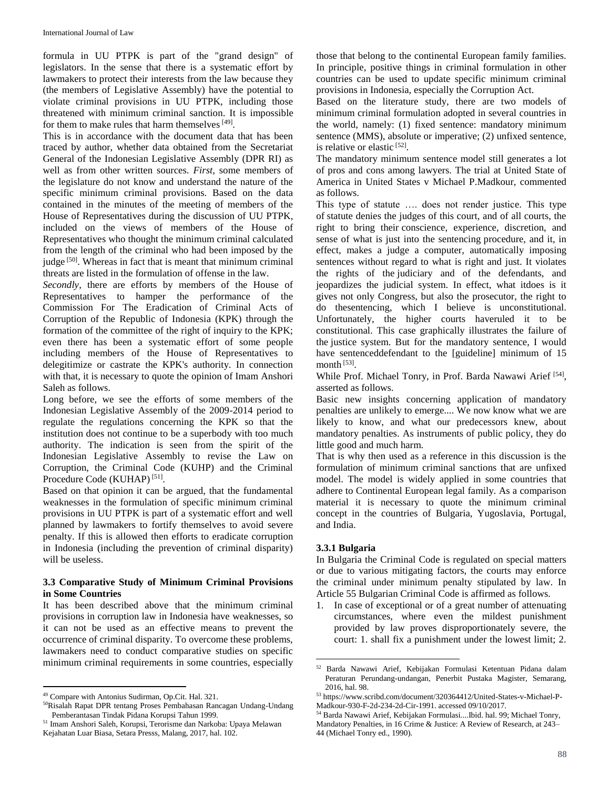formula in UU PTPK is part of the "grand design" of legislators. In the sense that there is a systematic effort by lawmakers to protect their interests from the law because they (the members of Legislative Assembly) have the potential to violate criminal provisions in UU PTPK, including those threatened with minimum criminal sanction. It is impossible for them to make rules that harm themselves [49].

This is in accordance with the document data that has been traced by author, whether data obtained from the Secretariat General of the Indonesian Legislative Assembly (DPR RI) as well as from other written sources. *First,* some members of the legislature do not know and understand the nature of the specific minimum criminal provisions. Based on the data contained in the minutes of the meeting of members of the House of Representatives during the discussion of UU PTPK, included on the views of members of the House of Representatives who thought the minimum criminal calculated from the length of the criminal who had been imposed by the judge<sup>[50]</sup>. Whereas in fact that is meant that minimum criminal threats are listed in the formulation of offense in the law.

*Secondly*, there are efforts by members of the House of Representatives to hamper the performance of the Commission For The Eradication of Criminal Acts of Corruption of the Republic of Indonesia (KPK) through the formation of the committee of the right of inquiry to the KPK; even there has been a systematic effort of some people including members of the House of Representatives to delegitimize or castrate the KPK's authority. In connection with that, it is necessary to quote the opinion of Imam Anshori Saleh as follows.

Long before, we see the efforts of some members of the Indonesian Legislative Assembly of the 2009-2014 period to regulate the regulations concerning the KPK so that the institution does not continue to be a superbody with too much authority. The indication is seen from the spirit of the Indonesian Legislative Assembly to revise the Law on Corruption, the Criminal Code (KUHP) and the Criminal Procedure Code (KUHAP)<sup>[51]</sup>.

Based on that opinion it can be argued, that the fundamental weaknesses in the formulation of specific minimum criminal provisions in UU PTPK is part of a systematic effort and well planned by lawmakers to fortify themselves to avoid severe penalty. If this is allowed then efforts to eradicate corruption in Indonesia (including the prevention of criminal disparity) will be useless.

### **3.3 Comparative Study of Minimum Criminal Provisions in Some Countries**

It has been described above that the minimum criminal provisions in corruption law in Indonesia have weaknesses, so it can not be used as an effective means to prevent the occurrence of criminal disparity. To overcome these problems, lawmakers need to conduct comparative studies on specific minimum criminal requirements in some countries, especially

 $\ddot{\phantom{a}}$ 

those that belong to the continental European family families. In principle, positive things in criminal formulation in other countries can be used to update specific minimum criminal provisions in Indonesia, especially the Corruption Act.

Based on the literature study, there are two models of minimum criminal formulation adopted in several countries in the world, namely: (1) fixed sentence: mandatory minimum sentence (MMS), absolute or imperative; (2) unfixed sentence, is relative or elastic<sup>[52]</sup>.

The mandatory minimum sentence model still generates a lot of pros and cons among lawyers. The trial at United State of America in United States v Michael P.Madkour, commented as follows.

This type of statute …. does not render justice. This type of statute denies the judges of this court, and of all courts, the right to bring their conscience, experience, discretion, and sense of what is just into the sentencing procedure, and it, in effect, makes a judge a computer, automatically imposing sentences without regard to what is right and just. It violates the rights of the judiciary and of the defendants, and jeopardizes the judicial system. In effect, what itdoes is it gives not only Congress, but also the prosecutor, the right to do thesentencing, which I believe is unconstitutional. Unfortunately, the higher courts haveruled it to be constitutional. This case graphically illustrates the failure of the justice system. But for the mandatory sentence, I would have sentenceddefendant to the [guideline] minimum of 15 month<sup>[53]</sup>.

While Prof. Michael Tonry, in Prof. Barda Nawawi Arief [54], asserted as follows.

Basic new insights concerning application of mandatory penalties are unlikely to emerge.... We now know what we are likely to know, and what our predecessors knew, about mandatory penalties. As instruments of public policy, they do little good and much harm.

That is why then used as a reference in this discussion is the formulation of minimum criminal sanctions that are unfixed model. The model is widely applied in some countries that adhere to Continental European legal family. As a comparison material it is necessary to quote the minimum criminal concept in the countries of Bulgaria, Yugoslavia, Portugal, and India.

# **3.3.1 Bulgaria**

 $\overline{a}$ 

In Bulgaria the Criminal Code is regulated on special matters or due to various mitigating factors, the courts may enforce the criminal under minimum penalty stipulated by law. In Article 55 Bulgarian Criminal Code is affirmed as follows.

1. In case of exceptional or of a great number of attenuating circumstances, where even the mildest punishment provided by law proves disproportionately severe, the court: 1. shall fix a punishment under the lowest limit; 2.

<sup>49</sup> Compare with Antonius Sudirman, Op.Cit. Hal. 321.

<sup>50</sup>Risalah Rapat DPR tentang Proses Pembahasan Rancagan Undang-Undang Pemberantasan Tindak Pidana Korupsi Tahun 1999.

<sup>51</sup> Imam Anshori Saleh, Korupsi, Terorisme dan Narkoba: Upaya Melawan Kejahatan Luar Biasa, Setara Presss, Malang, 2017, hal. 102.

<sup>52</sup> Barda Nawawi Arief, Kebijakan Formulasi Ketentuan Pidana dalam Peraturan Perundang-undangan, Penerbit Pustaka Magister, Semarang, 2016, hal. 98.

<sup>53</sup> https://www.scribd.com/document/320364412/United-States-v-Michael-P-Madkour-930-F-2d-234-2d-Cir-1991. accessed 09/10/2017.

<sup>54</sup> Barda Nawawi Arief, Kebijakan Formulasi....Ibid. hal. 99; Michael Tonry, Mandatory Penalties, in 16 Crime & Justice: A Review of Research, at 243– 44 (Michael Tonry ed., 1990).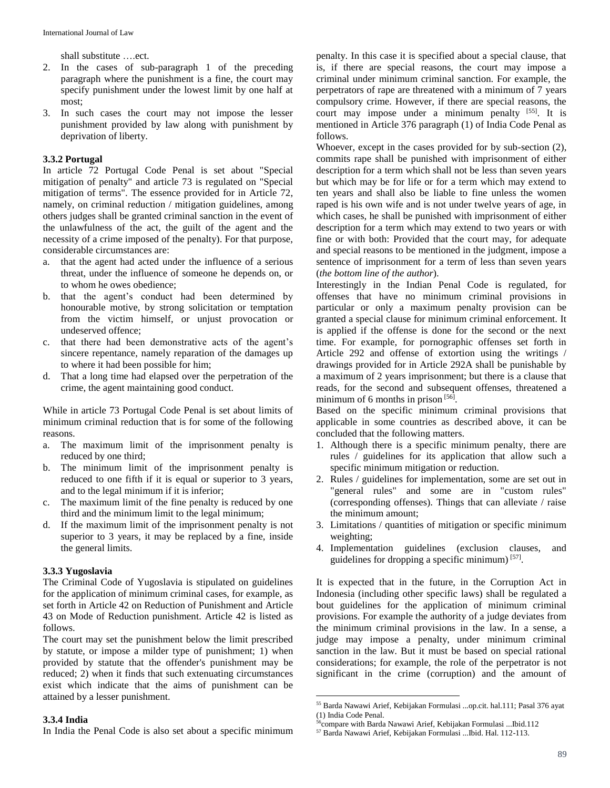shall substitute ….ect.

- 2. In the cases of sub-paragraph 1 of the preceding paragraph where the punishment is a fine, the court may specify punishment under the lowest limit by one half at most;
- 3. In such cases the court may not impose the lesser punishment provided by law along with punishment by deprivation of liberty.

### **3.3.2 Portugal**

In article 72 Portugal Code Penal is set about "Special mitigation of penalty" and article 73 is regulated on "Special mitigation of terms". The essence provided for in Article 72, namely, on criminal reduction / mitigation guidelines, among others judges shall be granted criminal sanction in the event of the unlawfulness of the act, the guilt of the agent and the necessity of a crime imposed of the penalty). For that purpose, considerable circumstances are:

- a. that the agent had acted under the influence of a serious threat, under the influence of someone he depends on, or to whom he owes obedience;
- b. that the agent's conduct had been determined by honourable motive, by strong solicitation or temptation from the victim himself, or unjust provocation or undeserved offence;
- c. that there had been demonstrative acts of the agent's sincere repentance, namely reparation of the damages up to where it had been possible for him;
- d. That a long time had elapsed over the perpetration of the crime, the agent maintaining good conduct.

While in article 73 Portugal Code Penal is set about limits of minimum criminal reduction that is for some of the following reasons.

- a. The maximum limit of the imprisonment penalty is reduced by one third;
- b. The minimum limit of the imprisonment penalty is reduced to one fifth if it is equal or superior to 3 years, and to the legal minimum if it is inferior;
- c. The maximum limit of the fine penalty is reduced by one third and the minimum limit to the legal minimum;
- d. If the maximum limit of the imprisonment penalty is not superior to 3 years, it may be replaced by a fine, inside the general limits.

### **3.3.3 Yugoslavia**

The Criminal Code of Yugoslavia is stipulated on guidelines for the application of minimum criminal cases, for example, as set forth in Article 42 on Reduction of Punishment and Article 43 on Mode of Reduction punishment. Article 42 is listed as follows.

The court may set the punishment below the limit prescribed by statute, or impose a milder type of punishment; 1) when provided by statute that the offender's punishment may be reduced; 2) when it finds that such extenuating circumstances exist which indicate that the aims of punishment can be attained by a lesser punishment.

### **3.3.4 India**

In India the Penal Code is also set about a specific minimum

penalty. In this case it is specified about a special clause, that is, if there are special reasons, the court may impose a criminal under minimum criminal sanction. For example, the perpetrators of rape are threatened with a minimum of 7 years compulsory crime. However, if there are special reasons, the court may impose under a minimum penalty [55]. It is mentioned in Article 376 paragraph (1) of India Code Penal as follows.

Whoever, except in the cases provided for by sub-section (2), commits rape shall be punished with imprisonment of either description for a term which shall not be less than seven years but which may be for life or for a term which may extend to ten years and shall also be liable to fine unless the women raped is his own wife and is not under twelve years of age, in which cases, he shall be punished with imprisonment of either description for a term which may extend to two years or with fine or with both: Provided that the court may, for adequate and special reasons to be mentioned in the judgment, impose a sentence of imprisonment for a term of less than seven years (*the bottom line of the author*).

Interestingly in the Indian Penal Code is regulated, for offenses that have no minimum criminal provisions in particular or only a maximum penalty provision can be granted a special clause for minimum criminal enforcement. It is applied if the offense is done for the second or the next time. For example, for pornographic offenses set forth in Article 292 and offense of extortion using the writings / drawings provided for in Article 292A shall be punishable by a maximum of 2 years imprisonment; but there is a clause that reads, for the second and subsequent offenses, threatened a minimum of 6 months in prison  $[56]$ .

Based on the specific minimum criminal provisions that applicable in some countries as described above, it can be concluded that the following matters.

- 1. Although there is a specific minimum penalty, there are rules / guidelines for its application that allow such a specific minimum mitigation or reduction.
- 2. Rules / guidelines for implementation, some are set out in "general rules" and some are in "custom rules" (corresponding offenses). Things that can alleviate / raise the minimum amount;
- 3. Limitations / quantities of mitigation or specific minimum weighting;
- 4. Implementation guidelines (exclusion clauses, and guidelines for dropping a specific minimum)<sup>[57]</sup>.

It is expected that in the future, in the Corruption Act in Indonesia (including other specific laws) shall be regulated a bout guidelines for the application of minimum criminal provisions. For example the authority of a judge deviates from the minimum criminal provisions in the law. In a sense, a judge may impose a penalty, under minimum criminal sanction in the law. But it must be based on special rational considerations; for example, the role of the perpetrator is not significant in the crime (corruption) and the amount of

<sup>55</sup> Barda Nawawi Arief, Kebijakan Formulasi ...op.cit. hal.111; Pasal 376 ayat (1) India Code Penal.

<sup>56</sup>compare with Barda Nawawi Arief, Kebijakan Formulasi ...Ibid.112

<sup>57</sup> Barda Nawawi Arief, Kebijakan Formulasi ...Ibid. Hal. 112-113.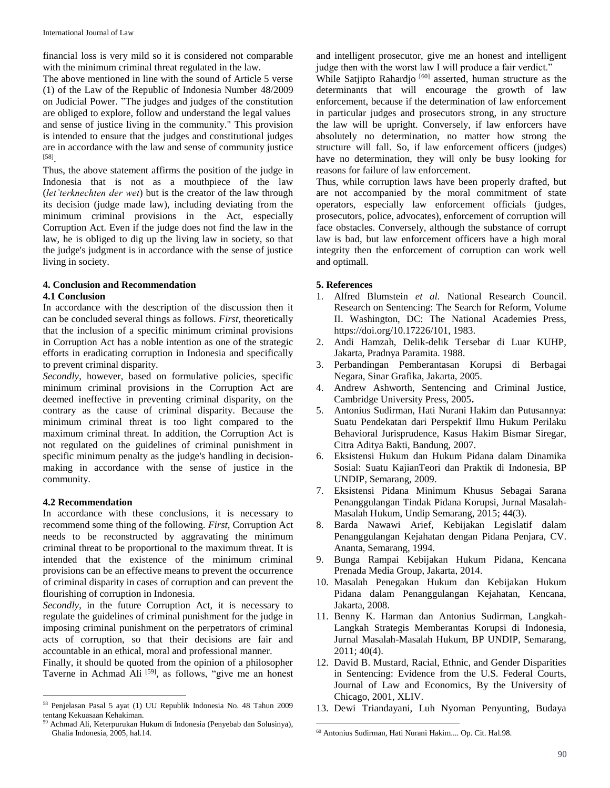financial loss is very mild so it is considered not comparable with the minimum criminal threat regulated in the law.

The above mentioned in line with the sound of Article 5 verse (1) of the Law of the Republic of Indonesia Number 48/2009 on Judicial Power. "The judges and judges of the constitution are obliged to explore, follow and understand the legal values and sense of justice living in the community." This provision is intended to ensure that the judges and constitutional judges are in accordance with the law and sense of community justice [58] .

Thus, the above statement affirms the position of the judge in Indonesia that is not as a mouthpiece of the law (*let'terknechten der wet*) but is the creator of the law through its decision (judge made law), including deviating from the minimum criminal provisions in the Act, especially Corruption Act. Even if the judge does not find the law in the law, he is obliged to dig up the living law in society, so that the judge's judgment is in accordance with the sense of justice living in society.

# **4. Conclusion and Recommendation**

### **4.1 Conclusion**

In accordance with the description of the discussion then it can be concluded several things as follows. *First,* theoretically that the inclusion of a specific minimum criminal provisions in Corruption Act has a noble intention as one of the strategic efforts in eradicating corruption in Indonesia and specifically to prevent criminal disparity.

*Secondly*, however, based on formulative policies, specific minimum criminal provisions in the Corruption Act are deemed ineffective in preventing criminal disparity, on the contrary as the cause of criminal disparity. Because the minimum criminal threat is too light compared to the maximum criminal threat. In addition, the Corruption Act is not regulated on the guidelines of criminal punishment in specific minimum penalty as the judge's handling in decisionmaking in accordance with the sense of justice in the community.

### **4.2 Recommendation**

In accordance with these conclusions, it is necessary to recommend some thing of the following. *First*, Corruption Act needs to be reconstructed by aggravating the minimum criminal threat to be proportional to the maximum threat. It is intended that the existence of the minimum criminal provisions can be an effective means to prevent the occurrence of criminal disparity in cases of corruption and can prevent the flourishing of corruption in Indonesia.

*Secondly*, in the future Corruption Act, it is necessary to regulate the guidelines of criminal punishment for the judge in imposing criminal punishment on the perpetrators of criminal acts of corruption, so that their decisions are fair and accountable in an ethical, moral and professional manner.

Finally, it should be quoted from the opinion of a philosopher Taverne in Achmad Ali<sup>[59]</sup>, as follows, "give me an honest and intelligent prosecutor, give me an honest and intelligent judge then with the worst law I will produce a fair verdict."

While Satjipto Rahardjo<sup>[60]</sup> asserted, human structure as the determinants that will encourage the growth of law enforcement, because if the determination of law enforcement in particular judges and prosecutors strong, in any structure the law will be upright. Conversely, if law enforcers have absolutely no determination, no matter how strong the structure will fall. So, if law enforcement officers (judges) have no determination, they will only be busy looking for reasons for failure of law enforcement.

Thus, while corruption laws have been properly drafted, but are not accompanied by the moral commitment of state operators, especially law enforcement officials (judges, prosecutors, police, advocates), enforcement of corruption will face obstacles. Conversely, although the substance of corrupt law is bad, but law enforcement officers have a high moral integrity then the enforcement of corruption can work well and optimall.

# **5. References**

- 1. Alfred Blumstein *et al.* National Research Council. Research on Sentencing: The Search for Reform, Volume II. Washington, DC: The National Academies Press, https://doi.org/10.17226/101, 1983.
- 2. Andi Hamzah, Delik-delik Tersebar di Luar KUHP, Jakarta, Pradnya Paramita. 1988.
- 3. Perbandingan Pemberantasan Korupsi di Berbagai Negara, Sinar Grafika, Jakarta, 2005.
- 4. Andrew Ashworth, Sentencing and Criminal Justice, Cambridge University Press, 2005**.**
- 5. Antonius Sudirman, Hati Nurani Hakim dan Putusannya: Suatu Pendekatan dari Perspektif Ilmu Hukum Perilaku Behavioral Jurisprudence, Kasus Hakim Bismar Siregar, Citra Aditya Bakti, Bandung, 2007.
- 6. Eksistensi Hukum dan Hukum Pidana dalam Dinamika Sosial: Suatu KajianTeori dan Praktik di Indonesia, BP UNDIP, Semarang, 2009.
- 7. Eksistensi Pidana Minimum Khusus Sebagai Sarana Penanggulangan Tindak Pidana Korupsi, Jurnal Masalah-Masalah Hukum, Undip Semarang, 2015; 44(3).
- 8. Barda Nawawi Arief, Kebijakan Legislatif dalam Penanggulangan Kejahatan dengan Pidana Penjara, CV. Ananta, Semarang, 1994.
- 9. Bunga Rampai Kebijakan Hukum Pidana, Kencana Prenada Media Group, Jakarta, 2014.
- 10. Masalah Penegakan Hukum dan Kebijakan Hukum Pidana dalam Penanggulangan Kejahatan, Kencana, Jakarta, 2008.
- 11. Benny K. Harman dan Antonius Sudirman, Langkah-Langkah Strategis Memberantas Korupsi di Indonesia, Jurnal Masalah-Masalah Hukum, BP UNDIP, Semarang, 2011; 40(4).
- 12. David B. Mustard, Racial, Ethnic, and Gender Disparities in Sentencing: Evidence from the U.S. Federal Courts, Journal of Law and Economics, By the University of Chicago, 2001, XLIV.
- 13. Dewi Triandayani, Luh Nyoman Penyunting, Budaya

 $\overline{a}$ <sup>58</sup> Penjelasan Pasal 5 ayat (1) UU Republik Indonesia No. 48 Tahun 2009 tentang Kekuasaan Kehakiman.

<sup>59</sup> Achmad Ali, Keterpurukan Hukum di Indonesia (Penyebab dan Solusinya), Ghalia Indonesia, 2005, hal.14.

 $\ddot{\phantom{a}}$ <sup>60</sup> Antonius Sudirman, Hati Nurani Hakim.... Op. Cit. Hal.98.